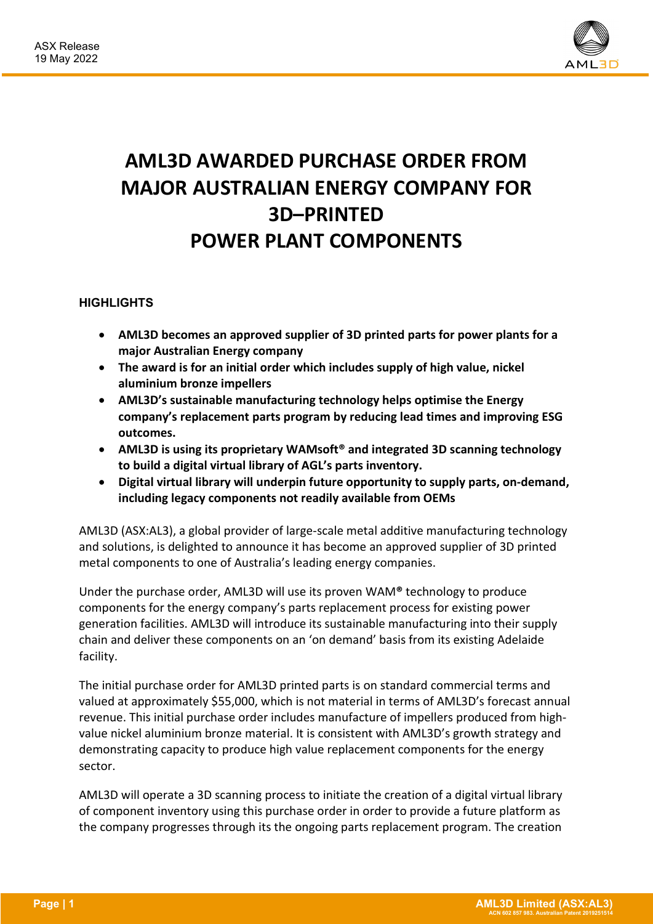

## **AML3D AWARDED PURCHASE ORDER FROM MAJOR AUSTRALIAN ENERGY COMPANY FOR 3D–PRINTED POWER PLANT COMPONENTS**

## **HIGHLIGHTS**

- **AML3D becomes an approved supplier of 3D printed parts for power plants for a major Australian Energy company**
- **The award is for an initial order which includes supply of high value, nickel aluminium bronze impellers**
- **AML3D's sustainable manufacturing technology helps optimise the Energy company's replacement parts program by reducing lead times and improving ESG outcomes.**
- **AML3D is using its proprietary WAMsoft® and integrated 3D scanning technology to build a digital virtual library of AGL's parts inventory.**
- **Digital virtual library will underpin future opportunity to supply parts, on-demand, including legacy components not readily available from OEMs**

AML3D (ASX:AL3), a global provider of large-scale metal additive manufacturing technology and solutions, is delighted to announce it has become an approved supplier of 3D printed metal components to one of Australia's leading energy companies.

Under the purchase order, AML3D will use its proven WAM**®** technology to produce components for the energy company's parts replacement process for existing power generation facilities. AML3D will introduce its sustainable manufacturing into their supply chain and deliver these components on an 'on demand' basis from its existing Adelaide facility.

The initial purchase order for AML3D printed parts is on standard commercial terms and valued at approximately \$55,000, which is not material in terms of AML3D's forecast annual revenue. This initial purchase order includes manufacture of impellers produced from highvalue nickel aluminium bronze material. It is consistent with AML3D's growth strategy and demonstrating capacity to produce high value replacement components for the energy sector.

AML3D will operate a 3D scanning process to initiate the creation of a digital virtual library of component inventory using this purchase order in order to provide a future platform as the company progresses through its the ongoing parts replacement program. The creation